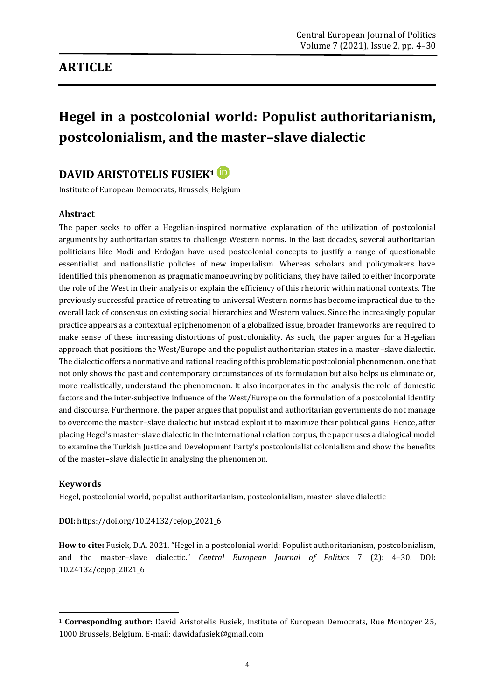# **ARTICLE**

# **Hegel in a postcolonial world: Populist authoritarianism, postcolonialism, and the master–slave dialectic**

# **DAVID ARISTOTELIS FUSIEK<sup>1</sup>**

Institute of European Democrats, Brussels, Belgium

#### **Abstract**

The paper seeks to offer a Hegelian-inspired normative explanation of the utilization of postcolonial arguments by authoritarian states to challenge Western norms. In the last decades, several authoritarian politicians like Modi and Erdoğan have used postcolonial concepts to justify a range of questionable essentialist and nationalistic policies of new imperialism. Whereas scholars and policymakers have identified this phenomenon as pragmatic manoeuvring by politicians, they have failed to either incorporate the role of the West in their analysis or explain the efficiency of this rhetoric within national contexts. The previously successful practice of retreating to universal Western norms has become impractical due to the overall lack of consensus on existing social hierarchies and Western values. Since the increasingly popular practice appears as a contextual epiphenomenon of a globalized issue, broader frameworks are required to make sense of these increasing distortions of postcoloniality. As such, the paper argues for a Hegelian approach that positions the West/Europe and the populist authoritarian states in a master–slave dialectic. The dialectic offers a normative and rational reading of this problematic postcolonial phenomenon, one that not only shows the past and contemporary circumstances of its formulation but also helps us eliminate or, more realistically, understand the phenomenon. It also incorporates in the analysis the role of domestic factors and the inter-subjective influence of the West/Europe on the formulation of a postcolonial identity and discourse. Furthermore, the paper argues that populist and authoritarian governments do not manage to overcome the master–slave dialectic but instead exploit it to maximize their political gains. Hence, after placing Hegel's master–slave dialectic in the international relation corpus, the paper uses a dialogical model to examine the Turkish Justice and Development Party's postcolonialist colonialism and show the benefits of the master–slave dialectic in analysing the phenomenon.

#### **Keywords**

Hegel, postcolonial world, populist authoritarianism, postcolonialism, master–slave dialectic

**DOI:** [https://doi.org/10.24132/c](https://doi.org/10.24132/)ejop\_2021\_6

**How to cite:** Fusiek, D.A. 2021. "Hegel in a postcolonial world: Populist authoritarianism, postcolonialism, and the master–slave dialectic." *Central European Journal of Politics* 7 (2): 4–30. DOI: 10.24132/cejop\_2021\_6

**<sup>.</sup>** <sup>1</sup> **Corresponding author**: David Aristotelis Fusiek, Institute of European Democrats, [Rue Montoyer 25,](https://goo.gl/maps/pBxw9t4TYFuJcdjy6)  1000 Brussels, Belgium. E-mail: dawidafusiek@gmail.com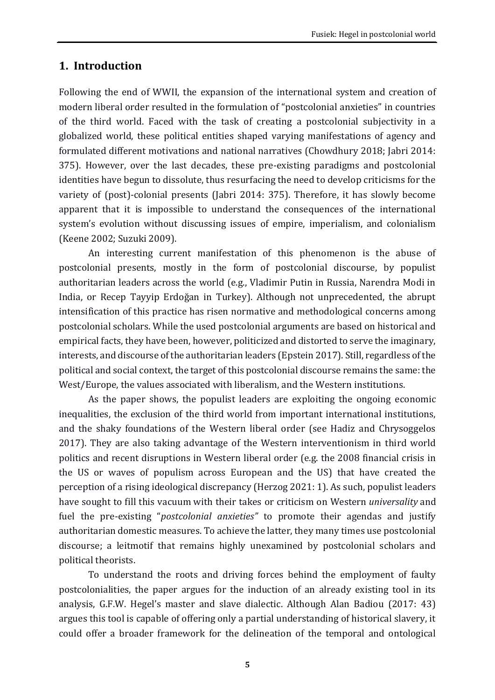### **1. Introduction**

Following the end of WWII, the expansion of the international system and creation of modern liberal order resulted in the formulation of "postcolonial anxieties" in countries of the third world. Faced with the task of creating a postcolonial subjectivity in a globalized world, these political entities shaped varying manifestations of agency and formulated different motivations and national narratives (Chowdhury 2018; Jabri 2014: 375). However, over the last decades, these pre-existing paradigms and postcolonial identities have begun to dissolute, thus resurfacing the need to develop criticisms for the variety of (post)-colonial presents (Jabri 2014: 375). Therefore, it has slowly become apparent that it is impossible to understand the consequences of the international system's evolution without discussing issues of empire, imperialism, and colonialism (Keene 2002; Suzuki 2009).

An interesting current manifestation of this phenomenon is the abuse of postcolonial presents, mostly in the form of postcolonial discourse, by populist authoritarian leaders across the world (e.g., Vladimir Putin in Russia, Narendra Modi in India, or Recep Tayyip Erdoğan in Turkey). Although not unprecedented, the abrupt intensification of this practice has risen normative and methodological concerns among postcolonial scholars. While the used postcolonial arguments are based on historical and empirical facts, they have been, however, politicized and distorted to serve the imaginary, interests, and discourse of the authoritarian leaders (Epstein 2017). Still, regardless of the political and social context, the target of this postcolonial discourse remains the same: the West/Europe, the values associated with liberalism, and the Western institutions.

As the paper shows, the populist leaders are exploiting the ongoing economic inequalities, the exclusion of the third world from important international institutions, and the shaky foundations of the Western liberal order (see Hadiz and Chrysoggelos 2017). They are also taking advantage of the Western interventionism in third world politics and recent disruptions in Western liberal order (e.g. the 2008 financial crisis in the US or waves of populism across European and the US) that have created the perception of a rising ideological discrepancy (Herzog 2021: 1). As such, populist leaders have sought to fill this vacuum with their takes or criticism on Western *universality* and fuel the pre-existing "*postcolonial anxieties"* to promote their agendas and justify authoritarian domestic measures. To achieve the latter, they many times use postcolonial discourse; a leitmotif that remains highly unexamined by postcolonial scholars and political theorists.

To understand the roots and driving forces behind the employment of faulty postcolonialities, the paper argues for the induction of an already existing tool in its analysis, G.F.W. Hegel's master and slave dialectic. Although Alan Badiou (2017: 43) argues this tool is capable of offering only a partial understanding of historical slavery, it could offer a broader framework for the delineation of the temporal and ontological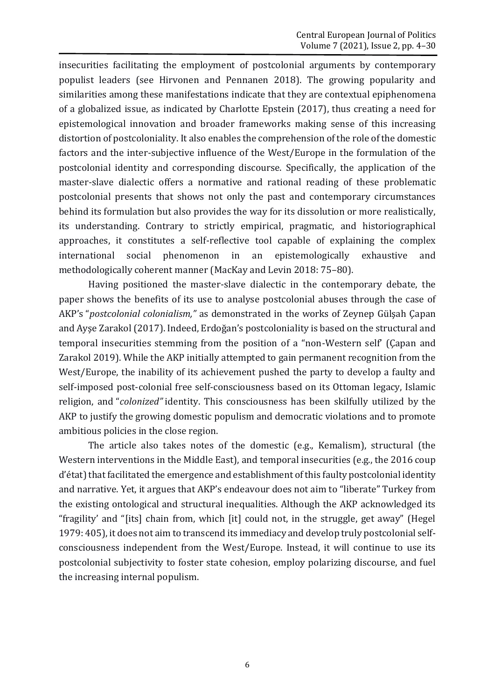insecurities facilitating the employment of postcolonial arguments by contemporary populist leaders (see Hirvonen and Pennanen 2018). The growing popularity and similarities among these manifestations indicate that they are contextual epiphenomena of a globalized issue, as indicated by Charlotte Epstein (2017), thus creating a need for epistemological innovation and broader frameworks making sense of this increasing distortion of postcoloniality. It also enables the comprehension of the role of the domestic factors and the inter-subjective influence of the West/Europe in the formulation of the postcolonial identity and corresponding discourse. Specifically, the application of the master-slave dialectic offers a normative and rational reading of these problematic postcolonial presents that shows not only the past and contemporary circumstances behind its formulation but also provides the way for its dissolution or more realistically, its understanding. Contrary to strictly empirical, pragmatic, and historiographical approaches, it constitutes a self-reflective tool capable of explaining the complex international social phenomenon in an epistemologically exhaustive and methodologically coherent manner (MacKay and Levin 2018: 75–80).

Having positioned the master-slave dialectic in the contemporary debate, the paper shows the benefits of its use to analyse postcolonial abuses through the case of AKP's "*postcolonial colonialism,"* as demonstrated in the works of Zeynep Gülşah Çapan and Ayşe Zarakol (2017). Indeed, Erdoğan's postcoloniality is based on the structural and temporal insecurities stemming from the position of a "non-Western self' (Çapan and Zarakol 2019). While the AKP initially attempted to gain permanent recognition from the West/Europe, the inability of its achievement pushed the party to develop a faulty and self-imposed post-colonial free self-consciousness based on its Ottoman legacy, Islamic religion, and "*colonized"* identity. This consciousness has been skilfully utilized by the AKP to justify the growing domestic populism and democratic violations and to promote ambitious policies in the close region.

The article also takes notes of the domestic (e.g., Kemalism), structural (the Western interventions in the Middle East), and temporal insecurities (e.g., the 2016 coup d'état) that facilitated the emergence and establishment of this faulty postcolonial identity and narrative. Yet, it argues that AKP's endeavour does not aim to "liberate" Turkey from the existing ontological and structural inequalities. Although the AKP acknowledged its "fragility' and "[its] chain from, which [it] could not, in the struggle, get away" (Hegel 1979: 405), it does not aim to transcend its immediacy and develop truly postcolonial selfconsciousness independent from the West/Europe. Instead, it will continue to use its postcolonial subjectivity to foster state cohesion, employ polarizing discourse, and fuel the increasing internal populism.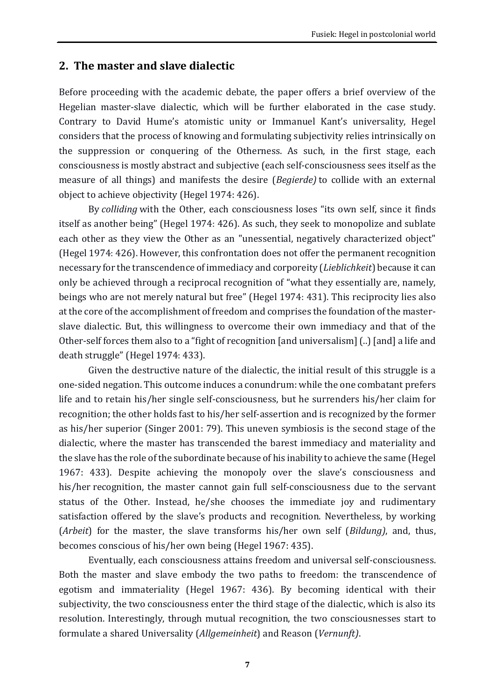## **2. The master and slave dialectic**

Before proceeding with the academic debate, the paper offers a brief overview of the Hegelian master-slave dialectic, which will be further elaborated in the case study. Contrary to David Hume's atomistic unity or Immanuel Kant's universality, Hegel considers that the process of knowing and formulating subjectivity relies intrinsically on the suppression or conquering of the Otherness. As such, in the first stage, each consciousness is mostly abstract and subjective (each self-consciousness sees itself as the measure of all things) and manifests the desire (*Begierde)* to collide with an external object to achieve objectivity (Hegel 1974: 426).

By *colliding* with the Other, each consciousness loses "its own self, since it finds itself as another being" (Hegel 1974: 426). As such, they seek to monopolize and sublate each other as they view the Other as an "unessential, negatively characterized object" (Hegel 1974: 426). However, this confrontation does not offer the permanent recognition necessary for the transcendence of immediacy and corporeity (*Lieblichkeit*) because it can only be achieved through a reciprocal recognition of "what they essentially are, namely, beings who are not merely natural but free" (Hegel 1974: 431). This reciprocity lies also at the core of the accomplishment of freedom and comprises the foundation of the masterslave dialectic. But, this willingness to overcome their own immediacy and that of the Other-self forces them also to a "fight of recognition [and universalism] (..) [and] a life and death struggle" (Hegel 1974: 433).

Given the destructive nature of the dialectic, the initial result of this struggle is a one-sided negation. This outcome induces a conundrum: while the one combatant prefers life and to retain his/her single self-consciousness, but he surrenders his/her claim for recognition; the other holds fast to his/her self-assertion and is recognized by the former as his/her superior (Singer 2001: 79). This uneven symbiosis is the second stage of the dialectic, where the master has transcended the barest immediacy and materiality and the slave has the role of the subordinate because of his inability to achieve the same (Hegel 1967: 433). Despite achieving the monopoly over the slave's consciousness and his/her recognition, the master cannot gain full self-consciousness due to the servant status of the Other. Instead, he/she chooses the immediate joy and rudimentary satisfaction offered by the slave's products and recognition. Nevertheless, by working (*Arbeit*) for the master, the slave transforms his/her own self (*Bildung)*, and, thus, becomes conscious of his/her own being (Hegel 1967: 435).

Eventually, each consciousness attains freedom and universal self-consciousness. Both the master and slave embody the two paths to freedom: the transcendence of egotism and immateriality (Hegel 1967: 436). By becoming identical with their subjectivity, the two consciousness enter the third stage of the dialectic, which is also its resolution. Interestingly, through mutual recognition, the two consciousnesses start to formulate a shared Universality (*Allgemeinheit*) and Reason (*Vernunft)*.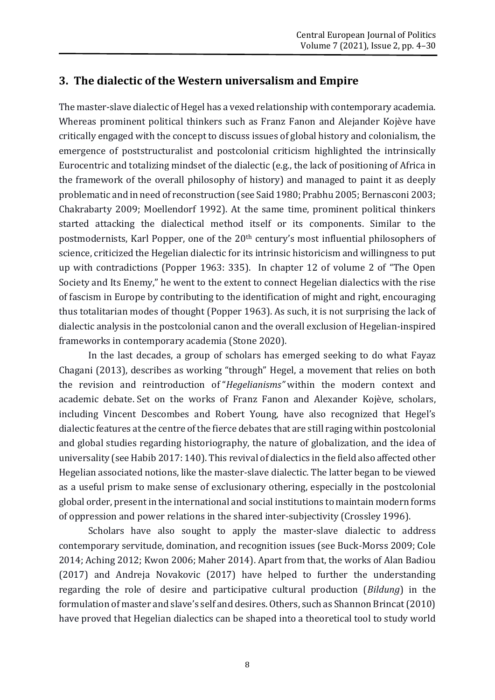## **3. The dialectic of the Western universalism and Empire**

The master-slave dialectic of Hegel has a vexed relationship with contemporary academia. Whereas prominent political thinkers such as Franz Fanon and Alejander Kojève have critically engaged with the concept to discuss issues of global history and colonialism, the emergence of poststructuralist and postcolonial criticism highlighted the intrinsically Eurocentric and totalizing mindset of the dialectic (e.g., the lack of positioning of Africa in the framework of the overall philosophy of history) and managed to paint it as deeply problematic and in need of reconstruction (see Said 1980; Prabhu 2005; Bernasconi 2003; Chakrabarty 2009; Moellendorf 1992). At the same time, prominent political thinkers started attacking the dialectical method itself or its components. Similar to the postmodernists, Karl Popper, one of the 20<sup>th</sup> century's most influential philosophers of science, criticized the Hegelian dialectic for its intrinsic historicism and willingness to put up with contradictions (Popper 1963: 335). In chapter 12 of volume 2 of "The Open Society and Its Enemy," he went to the extent to connect Hegelian dialectics with the rise of fascism in Europe by contributing to the identification of might and right, encouraging thus totalitarian modes of thought (Popper 1963). As such, it is not surprising the lack of dialectic analysis in the postcolonial canon and the overall exclusion of Hegelian-inspired frameworks in contemporary academia (Stone 2020).

In the last decades, a group of scholars has emerged seeking to do what Fayaz Chagani (2013), describes as working "through" Hegel, a movement that relies on both the revision and reintroduction of "*Hegelianisms"* within the modern context and academic debate. Set on the works of Franz Fanon and Alexander Kojève, scholars, including Vincent Descombes and Robert Young, have also recognized that Hegel's dialectic features at the centre of the fierce debates that are still raging within postcolonial and global studies regarding historiography, the nature of globalization, and the idea of universality (see Habib 2017: 140). This revival of dialectics in the field also affected other Hegelian associated notions, like the master-slave dialectic. The latter began to be viewed as a useful prism to make sense of exclusionary othering, especially in the postcolonial global order, present in the international and social institutions to maintain modern forms of oppression and power relations in the shared inter-subjectivity (Crossley 1996).

Scholars have also sought to apply the master-slave dialectic to address contemporary servitude, domination, and recognition issues (see Buck-Morss 2009; Cole 2014; Aching 2012; Kwon 2006; Maher 2014). Apart from that, the works of Alan Badiou (2017) and Andreja Novakovic (2017) have helped to further the understanding regarding the role of desire and participative cultural production (*Bildung*) in the formulation of master and slave's self and desires. Others, such as Shannon Brincat (2010) have proved that Hegelian dialectics can be shaped into a theoretical tool to study world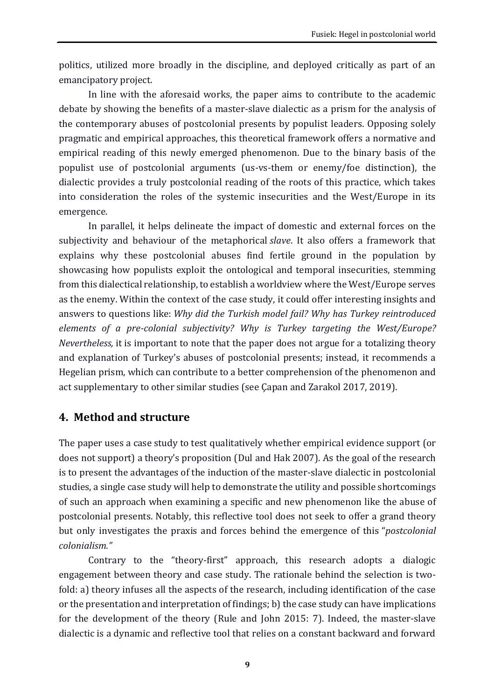politics, utilized more broadly in the discipline, and deployed critically as part of an emancipatory project.

In line with the aforesaid works, the paper aims to contribute to the academic debate by showing the benefits of a master-slave dialectic as a prism for the analysis of the contemporary abuses of postcolonial presents by populist leaders. Opposing solely pragmatic and empirical approaches, this theoretical framework offers a normative and empirical reading of this newly emerged phenomenon. Due to the binary basis of the populist use of postcolonial arguments (us-vs-them or enemy/foe distinction), the dialectic provides a truly postcolonial reading of the roots of this practice, which takes into consideration the roles of the systemic insecurities and the West/Europe in its emergence.

In parallel, it helps delineate the impact of domestic and external forces on the subjectivity and behaviour of the metaphorical *slave*. It also offers a framework that explains why these postcolonial abuses find fertile ground in the population by showcasing how populists exploit the ontological and temporal insecurities, stemming from this dialectical relationship, to establish a worldview where the West/Europe serves as the enemy. Within the context of the case study, it could offer interesting insights and answers to questions like: *Why did the Turkish model fail? Why has Turkey reintroduced elements of a pre-colonial subjectivity? Why is Turkey targeting the West/Europe? Nevertheless,* it is important to note that the paper does not argue for a totalizing theory and explanation of Turkey's abuses of postcolonial presents; instead, it recommends a Hegelian prism, which can contribute to a better comprehension of the phenomenon and act supplementary to other similar studies (see Çapan and Zarakol 2017, 2019).

### **4. Method and structure**

The paper uses a case study to test qualitatively whether empirical evidence support (or does not support) a theory's proposition (Dul and Hak 2007). As the goal of the research is to present the advantages of the induction of the master-slave dialectic in postcolonial studies, a single case study will help to demonstrate the utility and possible shortcomings of such an approach when examining a specific and new phenomenon like the abuse of postcolonial presents. Notably, this reflective tool does not seek to offer a grand theory but only investigates the praxis and forces behind the emergence of this "*postcolonial colonialism."*

Contrary to the "theory-first" approach, this research adopts a dialogic engagement between theory and case study. The rationale behind the selection is twofold: a) theory infuses all the aspects of the research, including identification of the case or the presentation and interpretation of findings; b) the case study can have implications for the development of the theory (Rule and John 2015: 7). Indeed, the master-slave dialectic is a dynamic and reflective tool that relies on a constant backward and forward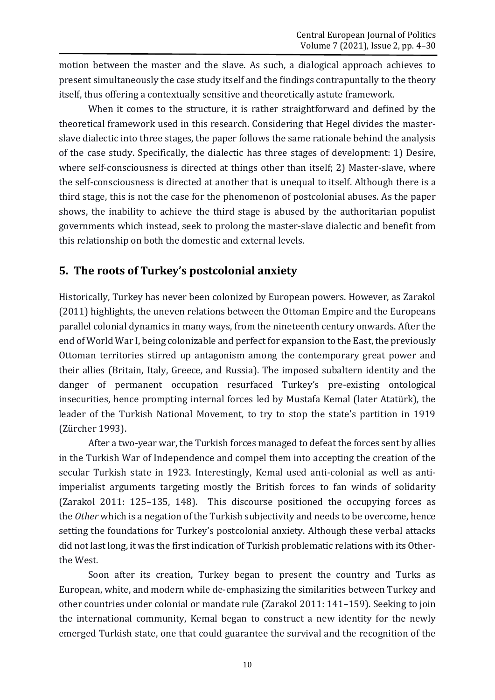motion between the master and the slave. As such, a dialogical approach achieves to present simultaneously the case study itself and the findings contrapuntally to the theory itself, thus offering a contextually sensitive and theoretically astute framework.

When it comes to the structure, it is rather straightforward and defined by the theoretical framework used in this research. Considering that Hegel divides the masterslave dialectic into three stages, the paper follows the same rationale behind the analysis of the case study. Specifically, the dialectic has three stages of development: 1) Desire, where self-consciousness is directed at things other than itself; 2) Master-slave, where the self-consciousness is directed at another that is unequal to itself. Although there is a third stage, this is not the case for the phenomenon of postcolonial abuses. As the paper shows, the inability to achieve the third stage is abused by the authoritarian populist governments which instead, seek to prolong the master-slave dialectic and benefit from this relationship on both the domestic and external levels.

### **5. The roots of Turkey's postcolonial anxiety**

Historically, Turkey has never been colonized by European powers. However, as Zarakol (2011) highlights, the uneven relations between the Ottoman Empire and the Europeans parallel colonial dynamics in many ways, from the nineteenth century onwards. After the end of World War I, being colonizable and perfect for expansion to the East, the previously Ottoman territories stirred up antagonism among the contemporary great power and their allies (Britain, Italy, Greece, and Russia). The imposed subaltern identity and the danger of permanent occupation resurfaced Turkey's pre-existing ontological insecurities, hence prompting internal forces led by Mustafa Kemal (later Atatürk), the leader of the Turkish National Movement, to try to stop the state's partition in 1919 (Zürcher 1993).

After a two-year war, the Turkish forces managed to defeat the forces sent by allies in the Turkish War of Independence and compel them into accepting the creation of the secular Turkish state in 1923. Interestingly, Kemal used anti-colonial as well as antiimperialist arguments targeting mostly the British forces to fan winds of solidarity (Zarakol 2011: 125–135, 148). This discourse positioned the occupying forces as the *Other* which is a negation of the Turkish subjectivity and needs to be overcome, hence setting the foundations for Turkey's postcolonial anxiety. Although these verbal attacks did not last long, it was the first indication of Turkish problematic relations with its Otherthe West.

Soon after its creation, Turkey began to present the country and Turks as European, white, and modern while de-emphasizing the similarities between Turkey and other countries under colonial or mandate rule (Zarakol 2011: 141–159). Seeking to join the international community, Kemal began to construct a new identity for the newly emerged Turkish state, one that could guarantee the survival and the recognition of the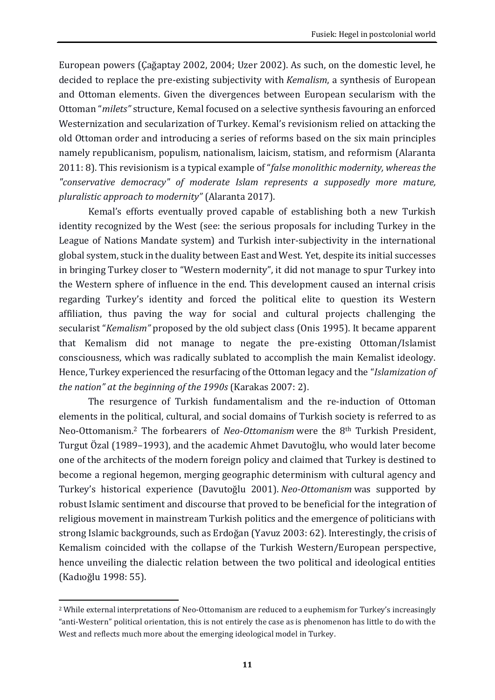European powers (Çağaptay 2002, 2004; Uzer 2002). As such, on the domestic level, he decided to replace the pre-existing subjectivity with *Kemalism*, a synthesis of European and Ottoman elements. Given the divergences between European secularism with the Ottoman "*milets"* structure, Kemal focused on a selective synthesis favouring an enforced Westernization and secularization of Turkey. Kemal's revisionism relied on attacking the old Ottoman order and introducing a series of reforms based on the six main principles namely republicanism, populism, nationalism, laicism, statism, and reformism (Alaranta 2011: 8). This revisionism is a typical example of "*false monolithic modernity, whereas the "conservative democracy" of moderate Islam represents a supposedly more mature, pluralistic approach to modernity"* (Alaranta 2017).

Kemal's efforts eventually proved capable of establishing both a new Turkish identity recognized by the West (see: the serious proposals for including Turkey in the League of Nations Mandate system) and Turkish inter-subjectivity in the international global system, stuck in the duality between East and West. Yet, despite its initial successes in bringing Turkey closer to "Western modernity", it did not manage to spur Turkey into the Western sphere of influence in the end. This development caused an internal crisis regarding Turkey's identity and forced the political elite to question its Western affiliation, thus paving the way for social and cultural projects challenging the secularist "*Kemalism"* proposed by the old subject class (Onis 1995). It became apparent that Kemalism did not manage to negate the pre-existing Ottoman/Islamist consciousness, which was radically sublated to accomplish the main Kemalist ideology. Hence, Turkey experienced the resurfacing of the Ottoman legacy and the "*Islamization of the nation" at the beginning of the 1990s* (Karakas 2007: 2).

The resurgence of Turkish fundamentalism and the re-induction of Ottoman elements in the political, cultural, and social domains of Turkish society is referred to as Neo-Ottomanism.<sup>2</sup> The forbearers of *Neo-Ottomanism* were the 8th Turkish President, Turgut Özal (1989–1993), and the academic Ahmet Davutoğlu, who would later become one of the architects of the modern foreign policy and claimed that Turkey is destined to become a regional hegemon, merging geographic determinism with cultural agency and Turkey's historical experience (Davutoğlu 2001). *Neo-Ottomanism* was supported by robust Islamic sentiment and discourse that proved to be beneficial for the integration of religious movement in mainstream Turkish politics and the emergence of politicians with strong Islamic backgrounds, such as Erdoğan (Yavuz 2003: 62). Interestingly, the crisis of Kemalism coincided with the collapse of the Turkish Western/European perspective, hence unveiling the dialectic relation between the two political and ideological entities (Kadıoğlu 1998: 55).

**.** 

<sup>2</sup> While external interpretations of Neo-Ottomanism are reduced to a euphemism for Turkey's increasingly "anti-Western" political orientation, this is not entirely the case as is phenomenon has little to do with the West and reflects much more about the emerging ideological model in Turkey.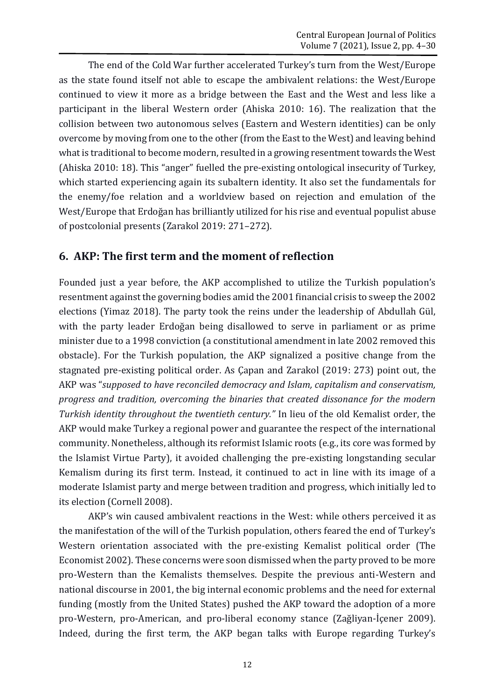The end of the Cold War further accelerated Turkey's turn from the West/Europe as the state found itself not able to escape the ambivalent relations: the West/Europe continued to view it more as a bridge between the East and the West and less like a participant in the liberal Western order (Ahiska 2010: 16). The realization that the collision between two autonomous selves (Eastern and Western identities) can be only overcome by moving from one to the other (from the East to the West) and leaving behind what is traditional to become modern, resulted in a growing resentment towards the West (Ahiska 2010: 18). This "anger" fuelled the pre-existing ontological insecurity of Turkey, which started experiencing again its subaltern identity. It also set the fundamentals for the enemy/foe relation and a worldview based on rejection and emulation of the West/Europe that Erdoğan has brilliantly utilized for his rise and eventual populist abuse of postcolonial presents (Zarakol 2019: 271–272).

### **6. AKP: The first term and the moment of reflection**

Founded just a year before, the AKP accomplished to utilize the Turkish population's resentment against the governing bodies amid the 2001 financial crisis to sweep the 2002 elections (Yimaz 2018). The party took the reins under the leadership of Abdullah Gül, with the party leader Erdoğan being disallowed to serve in parliament or as prime minister due to a 1998 conviction (a constitutional amendment in late 2002 removed this obstacle). For the Turkish population, the AKP signalized a positive change from the stagnated pre-existing political order. As Çapan and Zarakol (2019: 273) point out, the AKP was "*supposed to have reconciled democracy and Islam, capitalism and conservatism, progress and tradition, overcoming the binaries that created dissonance for the modern Turkish identity throughout the twentieth century."* In lieu of the old Kemalist order, the AKP would make Turkey a regional power and guarantee the respect of the international community. Nonetheless, although its reformist Islamic roots (e.g., its core was formed by the Islamist Virtue Party), it avoided challenging the pre-existing longstanding secular Kemalism during its first term. Instead, it continued to act in line with its image of a moderate Islamist party and merge between tradition and progress, which initially led to its election (Cornell 2008).

AKP's win caused ambivalent reactions in the West: while others perceived it as the manifestation of the will of the Turkish population, others feared the end of Turkey's Western orientation associated with the pre-existing Kemalist political order (The Economist 2002). These concerns were soon dismissed when the party proved to be more pro-Western than the Kemalists themselves. Despite the previous anti-Western and national discourse in 2001, the big internal economic problems and the need for external funding (mostly from the United States) pushed the AKP toward the adoption of a more pro-Western, pro-American, and pro-liberal economy stance (Zağliyan‐İçener 2009). Indeed, during the first term, the AKP began talks with Europe regarding Turkey's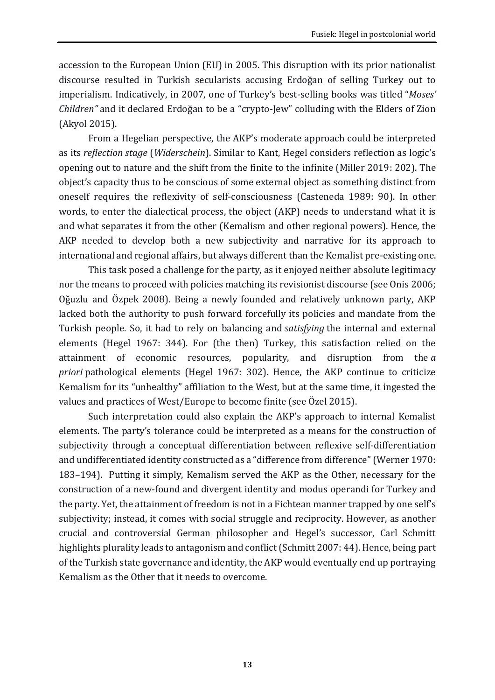accession to the European Union (EU) in 2005. This disruption with its prior nationalist discourse resulted in Turkish secularists accusing Erdoğan of selling Turkey out to imperialism. Indicatively, in 2007, one of Turkey's best-selling books was titled "*Moses' Children"* and it declared Erdoğan to be a "crypto-Jew" colluding with the Elders of Zion (Akyol 2015).

From a Hegelian perspective, the AKP's moderate approach could be interpreted as its *reflection stage* (*Widerschein*). Similar to Kant, Hegel considers reflection as logic's opening out to nature and the shift from the finite to the infinite (Miller 2019: 202). The object's capacity thus to be conscious of some external object as something distinct from oneself requires the reflexivity of self-consciousness (Casteneda 1989: 90). In other words, to enter the dialectical process, the object (AKP) needs to understand what it is and what separates it from the other (Kemalism and other regional powers). Hence, the AKP needed to develop both a new subjectivity and narrative for its approach to international and regional affairs, but always different than the Kemalist pre-existing one.

This task posed a challenge for the party, as it enjoyed neither absolute legitimacy nor the means to proceed with policies matching its revisionist discourse (see Onis 2006; Oğuzlu and Özpek 2008). Being a newly founded and relatively unknown party, AKP lacked both the authority to push forward forcefully its policies and mandate from the Turkish people. So, it had to rely on balancing and *satisfying* the internal and external elements (Hegel 1967: 344). For (the then) Turkey, this satisfaction relied on the attainment of economic resources, popularity, and disruption from the *a priori* pathological elements (Hegel 1967: 302). Hence, the AKP continue to criticize Kemalism for its "unhealthy" affiliation to the West, but at the same time, it ingested the values and practices of West/Europe to become finite (see Özel 2015).

Such interpretation could also explain the AKP's approach to internal Kemalist elements. The party's tolerance could be interpreted as a means for the construction of subjectivity through a conceptual differentiation between reflexive self-differentiation and undifferentiated identity constructed as a "difference from difference" (Werner 1970: 183–194). Putting it simply, Kemalism served the AKP as the Other, necessary for the construction of a new-found and divergent identity and modus operandi for Turkey and the party. Yet, the attainment of freedom is not in a Fichtean manner trapped by one self's subjectivity; instead, it comes with social struggle and reciprocity. However, as another crucial and controversial German philosopher and Hegel's successor, Carl Schmitt highlights plurality leads to antagonism and conflict (Schmitt 2007: 44). Hence, being part of the Turkish state governance and identity, the AKP would eventually end up portraying Kemalism as the Other that it needs to overcome.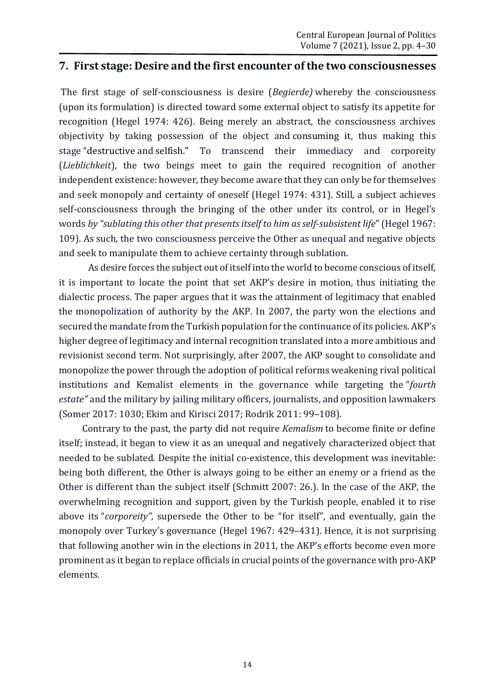#### **7. First stage: Desire and the first encounter of the two consciousnesses**

The first stage of self-consciousness is desire (*Begierde)* whereby the consciousness (upon its formulation) is directed toward some external object to satisfy its appetite for recognition (Hegel 1974: 426). Being merely an abstract, the consciousness archives objectivity by taking possession of the object and consuming it, thus making this stage "destructive and selfish." To transcend their immediacy and corporeity (*Lieblichkeit*), the two beings meet to gain the required recognition of another independent existence: however, they become aware that they can only be for themselves and seek monopoly and certainty of oneself (Hegel 1974: 431). Still, a subject achieves self-consciousness through the bringing of the other under its control, or in Hegel's words *by "sublating this other that presents itself to him as self-subsistent life*" (Hegel 1967: 109). As such, the two consciousness perceive the Other as unequal and negative objects and seek to manipulate them to achieve certainty through sublation.

As desire forces the subject out of itself into the world to become conscious of itself, it is important to locate the point that set AKP's desire in motion, thus initiating the dialectic process. The paper argues that it was the attainment of legitimacy that enabled the monopolization of authority by the AKP. In 2007, the party won the elections and secured the mandate from the Turkish population for the continuance of its policies. AKP's higher degree of legitimacy and internal recognition translated into a more ambitious and revisionist second term. Not surprisingly, after 2007, the AKP sought to consolidate and monopolize the power through the adoption of political reforms weakening rival political institutions and Kemalist elements in the governance while targeting the "*fourth estate"* and the military by jailing military officers, journalists, and opposition lawmakers (Somer 2017: 1030; Ekim and Kirisci 2017; Rodrik 2011: 99–108).

Contrary to the past, the party did not require *Kemalism* to become finite or define itself; instead, it began to view it as an unequal and negatively characterized object that needed to be sublated. Despite the initial co-existence, this development was inevitable: being both different, the Other is always going to be either an enemy or a friend as the Other is different than the subject itself (Schmitt 2007: 26.). In the case of the AKP, the overwhelming recognition and support, given by the Turkish people, enabled it to rise above its "*corporeity"*, supersede the Other to be "for itself", and eventually, gain the monopoly over Turkey's governance (Hegel 1967: 429–431). Hence, it is not surprising that following another win in the elections in 2011, the AKP's efforts become even more prominent as it began to replace officials in crucial points of the governance with pro-AKP elements.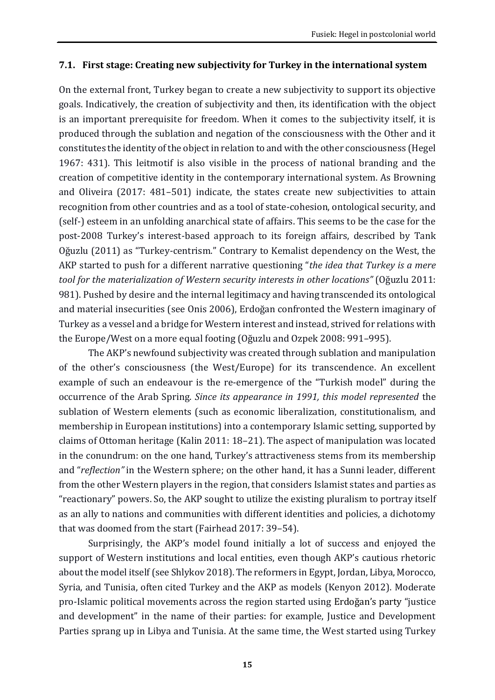#### **7.1. First stage: Creating new subjectivity for Turkey in the international system**

On the external front, Turkey began to create a new subjectivity to support its objective goals. Indicatively, the creation of subjectivity and then, its identification with the object is an important prerequisite for freedom. When it comes to the subjectivity itself, it is produced through the sublation and negation of the consciousness with the Other and it constitutes the identity of the object in relation to and with the other consciousness (Hegel 1967: 431). This leitmotif is also visible in the process of national branding and the creation of competitive identity in the contemporary international system. As Browning and Oliveira (2017: 481–501) indicate, the states create new subjectivities to attain recognition from other countries and as a tool of state-cohesion, ontological security, and (self-) esteem in an unfolding anarchical state of affairs. This seems to be the case for the post-2008 Turkey's interest-based approach to its foreign affairs, described by Tank Oğuzlu (2011) as "Turkey-centrism." Contrary to Kemalist dependency on the West, the AKP started to push for a different narrative questioning "*the idea that Turkey is a mere tool for the materialization of Western security interests in other locations"* (Oğuzlu 2011: 981). Pushed by desire and the internal legitimacy and having transcended its ontological and material insecurities (see Onis 2006), Erdoğan confronted the Western imaginary of Turkey as a vessel and a bridge for Western interest and instead, strived for relations with the Europe/West on a more equal footing (Oğuzlu and Ozpek 2008: 991–995).

The AKP's newfound subjectivity was created through sublation and manipulation of the other's consciousness (the West/Europe) for its transcendence. An excellent example of such an endeavour is the re-emergence of the "Turkish model" during the occurrence of the Arab Spring. *Since its appearance in 1991, this model represented* the sublation of Western elements (such as economic liberalization, constitutionalism, and membership in European institutions) into a contemporary Islamic setting, supported by claims of Ottoman heritage (Kalin 2011: 18–21). The aspect of manipulation was located in the conundrum: on the one hand, Turkey's attractiveness stems from its membership and "*reflection"* in the Western sphere; on the other hand, it has a Sunni leader, different from the other Western players in the region, that considers Islamist states and parties as "reactionary" powers. So, the AKP sought to utilize the existing pluralism to portray itself as an ally to nations and communities with different identities and policies, a dichotomy that was doomed from the start (Fairhead 2017: 39–54).

Surprisingly, the AKP's model found initially a lot of success and enjoyed the support of Western institutions and local entities, even though AKP's cautious rhetoric about the model itself (see Shlykov 2018). The reformers in Egypt, Jordan, Libya, Morocco, Syria, and Tunisia, often cited Turkey and the AKP as models (Kenyon 2012). Moderate pro-Islamic political movements across the region started using Erdoğan's party "justice and development" in the name of their parties: for example, Justice and Development Parties sprang up in Libya and Tunisia. At the same time, the West started using Turkey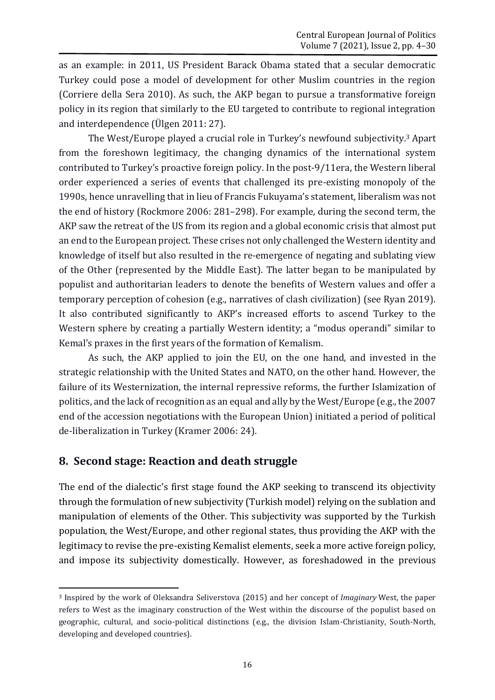as an example: in 2011, US President Barack Obama stated that a secular democratic Turkey could pose a model of development for other Muslim countries in the region (Corriere della Sera 2010). As such, the AKP began to pursue a transformative foreign policy in its region that similarly to the EU targeted to contribute to regional integration and interdependence (Ülgen 2011: 27).

The West/Europe played a crucial role in Turkey's newfound subjectivity.<sup>3</sup> Apart from the foreshown legitimacy, the changing dynamics of the international system contributed to Turkey's proactive foreign policy. In the post-9/11era, the Western liberal order experienced a series of events that challenged its pre-existing monopoly of the 1990s, hence unravelling that in lieu of Francis Fukuyama's statement, liberalism was not the end of history (Rockmore 2006: 281–298). For example, during the second term, the AKP saw the retreat of the US from its region and a global economic crisis that almost put an end to the European project. These crises not only challenged the Western identity and knowledge of itself but also resulted in the re-emergence of negating and sublating view of the Other (represented by the Middle East). The latter began to be manipulated by populist and authoritarian leaders to denote the benefits of Western values and offer a temporary perception of cohesion (e.g., narratives of clash civilization) (see Ryan 2019). It also contributed significantly to AKP's increased efforts to ascend Turkey to the Western sphere by creating a partially Western identity; a "modus operandi" similar to Kemal's praxes in the first years of the formation of Kemalism.

As such, the AKP applied to join the EU, on the one hand, and invested in the strategic relationship with the United States and NATO, on the other hand. However, the failure of its Westernization, the internal repressive reforms, the further Islamization of politics, and the lack of recognition as an equal and ally by the West/Europe (e.g., the 2007 end of the accession negotiations with the European Union) initiated a period of political de-liberalization in Turkey (Kramer 2006: 24).

### **8. Second stage: Reaction and death struggle**

The end of the dialectic's first stage found the AKP seeking to transcend its objectivity through the formulation of new subjectivity (Turkish model) relying on the sublation and manipulation of elements of the Other. This subjectivity was supported by the Turkish population, the West/Europe, and other regional states, thus providing the AKP with the legitimacy to revise the pre-existing Kemalist elements, seek a more active foreign policy, and impose its subjectivity domestically. However, as foreshadowed in the previous

**<sup>.</sup>** <sup>3</sup> Inspired by the work of Oleksandra Seliverstova (2015) and her concept of *Imaginary* West, the paper refers to West as the imaginary construction of the West within the discourse of the populist based on geographic, cultural, and socio-political distinctions (e.g., the division Islam-Christianity, South-North, developing and developed countries).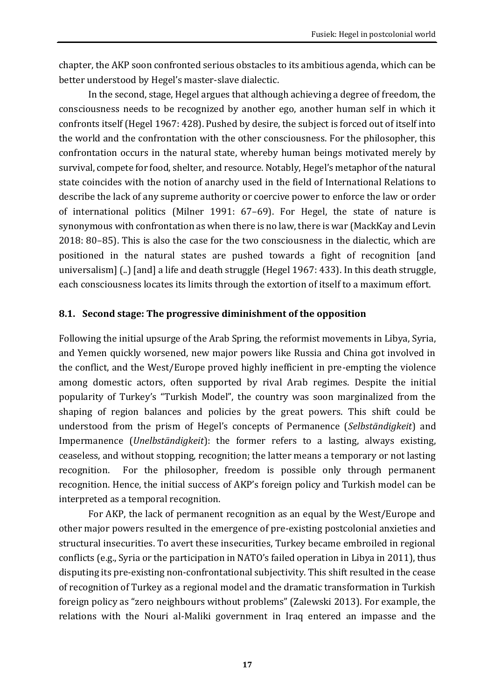chapter, the AKP soon confronted serious obstacles to its ambitious agenda, which can be better understood by Hegel's master-slave dialectic.

In the second, stage, Hegel argues that although achieving a degree of freedom, the consciousness needs to be recognized by another ego, another human self in which it confronts itself (Hegel 1967: 428). Pushed by desire, the subject is forced out of itself into the world and the confrontation with the other consciousness. For the philosopher, this confrontation occurs in the natural state, whereby human beings motivated merely by survival, compete for food, shelter, and resource. Notably, Hegel's metaphor of the natural state coincides with the notion of anarchy used in the field of International Relations to describe the lack of any supreme authority or coercive power to enforce the law or order of international politics (Milner 1991: 67–69). For Hegel, the state of nature is synonymous with confrontation as when there is no law, there is war (MackKay and Levin 2018: 80–85). This is also the case for the two consciousness in the dialectic, which are positioned in the natural states are pushed towards a fight of recognition [and universalism] (..) [and] a life and death struggle (Hegel 1967: 433). In this death struggle, each consciousness locates its limits through the extortion of itself to a maximum effort.

#### **8.1. Second stage: The progressive diminishment of the opposition**

Following the initial upsurge of the Arab Spring, the reformist movements in Libya, Syria, and Yemen quickly worsened, new major powers like Russia and China got involved in the conflict, and the West/Europe proved highly inefficient in pre-empting the violence among domestic actors, often supported by rival Arab regimes. Despite the initial popularity of Turkey's "Turkish Model", the country was soon marginalized from the shaping of region balances and policies by the great powers. This shift could be understood from the prism of Hegel's concepts of Permanence (*Selbständigkeit*) and Impermanence (*Unelbständigkeit*): the former refers to a lasting, always existing, ceaseless, and without stopping, recognition; the latter means a temporary or not lasting recognition. For the philosopher, freedom is possible only through permanent recognition. Hence, the initial success of AKP's foreign policy and Turkish model can be interpreted as a temporal recognition.

For AKP, the lack of permanent recognition as an equal by the West/Europe and other major powers resulted in the emergence of pre-existing postcolonial anxieties and structural insecurities. To avert these insecurities, Turkey became embroiled in regional conflicts (e.g., Syria or the participation in NATO's failed operation in Libya in 2011), thus disputing its pre-existing non-confrontational subjectivity. This shift resulted in the cease of recognition of Turkey as a regional model and the dramatic transformation in Turkish foreign policy as "zero neighbours without problems" (Zalewski 2013). For example, the relations with the Nouri al-Maliki government in Iraq entered an impasse and the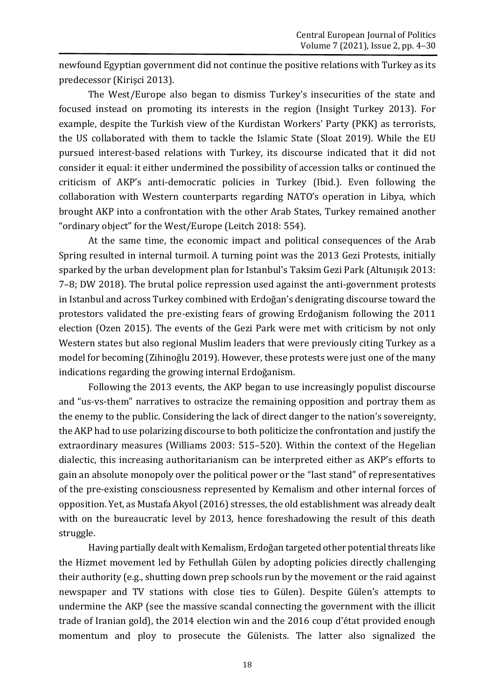newfound Egyptian government did not continue the positive relations with Turkey as its predecessor (Kirişci 2013).

The West/Europe also began to dismiss Turkey's insecurities of the state and focused instead on promoting its interests in the region (Insight Turkey 2013). For example, despite the Turkish view of the Kurdistan Workers' Party (PKK) as terrorists, the US collaborated with them to tackle the Islamic State (Sloat 2019). While the EU pursued interest-based relations with Turkey, its discourse indicated that it did not consider it equal: it either undermined the possibility of accession talks or continued the criticism of AKP's anti-democratic policies in Turkey (Ibid.). Even following the collaboration with Western counterparts regarding NATO's operation in Libya, which brought AKP into a confrontation with the other Arab States, Turkey remained another "ordinary object" for the West/Europe (Leitch 2018: 554).

At the same time, the economic impact and political consequences of the Arab Spring resulted in internal turmoil. A turning point was the 2013 Gezi Protests, initially sparked by the urban development plan for Istanbul's Taksim Gezi Park (Altunışık 2013: 7–8; DW 2018). The brutal police repression used against the anti-government protests in Istanbul and across Turkey combined with Erdoğan's denigrating discourse toward the protestors validated the pre-existing fears of growing Erdoğanism following the 2011 election (Ozen 2015). The events of the Gezi Park were met with criticism by not only Western states but also regional Muslim leaders that were previously citing Turkey as a model for becoming (Zihinoğlu 2019). However, these protests were just one of the many indications regarding the growing internal Erdoğanism.

Following the 2013 events, the AKP began to use increasingly populist discourse and "us-vs-them" narratives to ostracize the remaining opposition and portray them as the enemy to the public. Considering the lack of direct danger to the nation's sovereignty, the AKP had to use polarizing discourse to both politicize the confrontation and justify the extraordinary measures (Williams 2003: 515–520). Within the context of the Hegelian dialectic, this increasing authoritarianism can be interpreted either as AKP's efforts to gain an absolute monopoly over the political power or the "last stand" of representatives of the pre-existing consciousness represented by Kemalism and other internal forces of opposition. Yet, as Mustafa Akyol (2016) stresses, the old establishment was already dealt with on the bureaucratic level by 2013, hence foreshadowing the result of this death struggle.

Having partially dealt with Kemalism, Erdoğan targeted other potential threats like the Hizmet movement led by Fethullah Gülen by adopting policies directly challenging their authority (e.g., shutting down prep schools run by the movement or the raid against newspaper and TV stations with close ties to Gülen). Despite Gülen's attempts to undermine the AKP (see the massive scandal connecting the government with the illicit trade of Iranian gold), the 2014 election win and the 2016 coup d'état provided enough momentum and ploy to prosecute the Gülenists. The latter also signalized the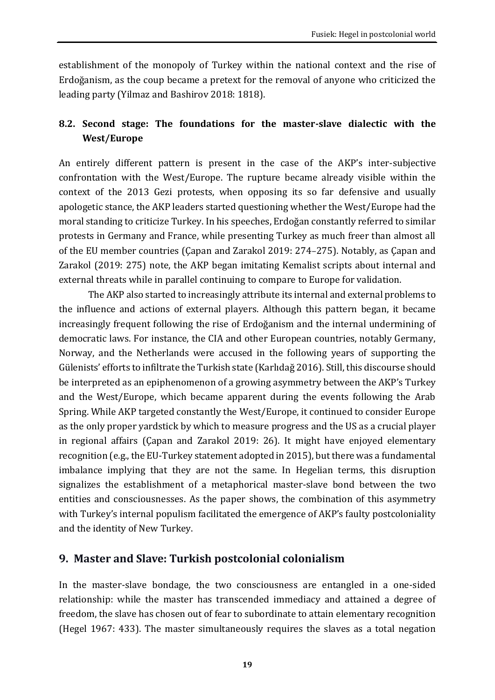establishment of the monopoly of Turkey within the national context and the rise of Erdoğanism, as the coup became a pretext for the removal of anyone who criticized the leading party (Yilmaz and Bashirov 2018: 1818).

### **8.2. Second stage: The foundations for the master-slave dialectic with the West/Europe**

An entirely different pattern is present in the case of the AKP's inter-subjective confrontation with the West/Europe. The rupture became already visible within the context of the 2013 Gezi protests, when opposing its so far defensive and usually apologetic stance, the AKP leaders started questioning whether the West/Europe had the moral standing to criticize Turkey. In his speeches, Erdoğan constantly referred to similar protests in Germany and France, while presenting Turkey as much freer than almost all of the EU member countries (Çapan and Zarakol 2019: 274–275). Notably, as Çapan and Zarakol (2019: 275) note, the AKP began imitating Kemalist scripts about internal and external threats while in parallel continuing to compare to Europe for validation.

The AKP also started to increasingly attribute its internal and external problems to the influence and actions of external players. Although this pattern began, it became increasingly frequent following the rise of Erdoğanism and the internal undermining of democratic laws. For instance, the CIA and other European countries, notably Germany, Norway, and the Netherlands were accused in the following years of supporting the Gülenists' efforts to infiltrate the Turkish state (Karlıdağ 2016). Still, this discourse should be interpreted as an epiphenomenon of a growing asymmetry between the AKP's Turkey and the West/Europe, which became apparent during the events following the Arab Spring. While AKP targeted constantly the West/Europe, it continued to consider Europe as the only proper yardstick by which to measure progress and the US as a crucial player in regional affairs (Çapan and Zarakol 2019: 26). It might have enjoyed elementary recognition (e.g., the EU-Turkey statement adopted in 2015), but there was a fundamental imbalance implying that they are not the same. In Hegelian terms, this disruption signalizes the establishment of a metaphorical master-slave bond between the two entities and consciousnesses. As the paper shows, the combination of this asymmetry with Turkey's internal populism facilitated the emergence of AKP's faulty postcoloniality and the identity of New Turkey.

### **9. Master and Slave: Turkish postcolonial colonialism**

In the master-slave bondage, the two consciousness are entangled in a one-sided relationship: while the master has transcended immediacy and attained a degree of freedom, the slave has chosen out of fear to subordinate to attain elementary recognition (Hegel 1967: 433). The master simultaneously requires the slaves as a total negation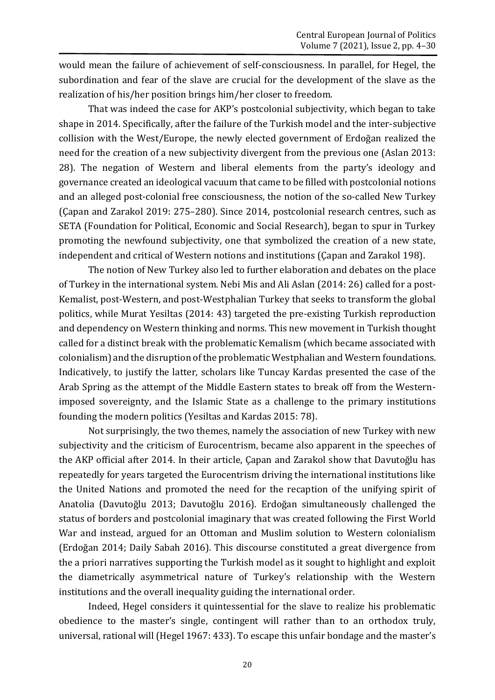would mean the failure of achievement of self-consciousness. In parallel, for Hegel, the subordination and fear of the slave are crucial for the development of the slave as the realization of his/her position brings him/her closer to freedom.

That was indeed the case for AKP's postcolonial subjectivity, which began to take shape in 2014. Specifically, after the failure of the Turkish model and the inter-subjective collision with the West/Europe, the newly elected government of Erdoğan realized the need for the creation of a new subjectivity divergent from the previous one (Aslan 2013: 28). The negation of Western and liberal elements from the party's ideology and governance created an ideological vacuum that came to be filled with postcolonial notions and an alleged post-colonial free consciousness, the notion of the so-called New Turkey (Çapan and Zarakol 2019: 275–280). Since 2014, postcolonial research centres, such as SETA (Foundation for Political, Economic and Social Research), began to spur in Turkey promoting the newfound subjectivity, one that symbolized the creation of a new state, independent and critical of Western notions and institutions (Çapan and Zarakol 198).

The notion of New Turkey also led to further elaboration and debates on the place of Turkey in the international system. Nebi Mis and Ali Aslan (2014: 26) called for a post-Kemalist, post-Western, and post-Westphalian Turkey that seeks to transform the global politics, while Murat Yesiltas (2014: 43) targeted the pre-existing Turkish reproduction and dependency on Western thinking and norms. This new movement in Turkish thought called for a distinct break with the problematic Kemalism (which became associated with colonialism) and the disruption of the problematic Westphalian and Western foundations. Indicatively, to justify the latter, scholars like Tuncay Kardas presented the case of the Arab Spring as the attempt of the Middle Eastern states to break off from the Westernimposed sovereignty, and the Islamic State as a challenge to the primary institutions founding the modern politics (Yesiltas and Kardas 2015: 78).

Not surprisingly, the two themes, namely the association of new Turkey with new subjectivity and the criticism of Eurocentrism, became also apparent in the speeches of the AKP official after 2014. In their article, Çapan and Zarakol show that Davutoğlu has repeatedly for years targeted the Eurocentrism driving the international institutions like the United Nations and promoted the need for the recaption of the unifying spirit of Anatolia (Davutoğlu 2013; Davutoğlu 2016). Erdoğan simultaneously challenged the status of borders and postcolonial imaginary that was created following the First World War and instead, argued for an Ottoman and Muslim solution to Western colonialism (Erdoğan 2014; Daily Sabah 2016). This discourse constituted a great divergence from the a priori narratives supporting the Turkish model as it sought to highlight and exploit the diametrically asymmetrical nature of Turkey's relationship with the Western institutions and the overall inequality guiding the international order.

Indeed, Hegel considers it quintessential for the slave to realize his problematic obedience to the master's single, contingent will rather than to an orthodox truly, universal, rational will (Hegel 1967: 433). To escape this unfair bondage and the master's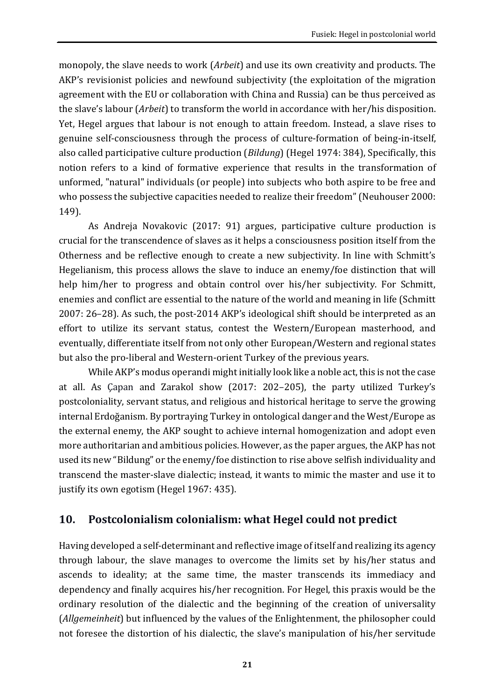monopoly, the slave needs to work (*Arbeit*) and use its own creativity and products. The AKP's revisionist policies and newfound subjectivity (the exploitation of the migration agreement with the EU or collaboration with China and Russia) can be thus perceived as the slave's labour (*Arbeit*) to transform the world in accordance with her/his disposition. Yet, Hegel argues that labour is not enough to attain freedom. Instead, a slave rises to genuine self-consciousness through the process of culture-formation of being-in-itself, also called participative culture production (*Bildung*) (Hegel 1974: 384), Specifically, this notion refers to a kind of formative experience that results in the transformation of unformed, "natural" individuals (or people) into subjects who both aspire to be free and who possess the subjective capacities needed to realize their freedom" (Neuhouser 2000: 149).

As Andreja Novakovic (2017: 91) argues, participative culture production is crucial for the transcendence of slaves as it helps a consciousness position itself from the Otherness and be reflective enough to create a new subjectivity. In line with Schmitt's Hegelianism, this process allows the slave to induce an enemy/foe distinction that will help him/her to progress and obtain control over his/her subjectivity. For Schmitt, enemies and conflict are essential to the nature of the world and meaning in life (Schmitt 2007: 26–28). As such, the post-2014 AKP's ideological shift should be interpreted as an effort to utilize its servant status, contest the Western/European masterhood, and eventually, differentiate itself from not only other European/Western and regional states but also the pro-liberal and Western-orient Turkey of the previous years.

While AKP's modus operandi might initially look like a noble act, this is not the case at all. As Çapan and Zarakol show (2017: 202–205), the party utilized Turkey's postcoloniality, servant status, and religious and historical heritage to serve the growing internal Erdoğanism. By portraying Turkey in ontological danger and the West/Europe as the external enemy, the AKP sought to achieve internal homogenization and adopt even more authoritarian and ambitious policies. However, as the paper argues, the AKP has not used its new "Bildung" or the enemy/foe distinction to rise above selfish individuality and transcend the master-slave dialectic; instead, it wants to mimic the master and use it to justify its own egotism (Hegel 1967: 435).

### **10. Postcolonialism colonialism: what Hegel could not predict**

Having developed a self-determinant and reflective image of itself and realizing its agency through labour, the slave manages to overcome the limits set by his/her status and ascends to ideality; at the same time, the master transcends its immediacy and dependency and finally acquires his/her recognition. For Hegel, this praxis would be the ordinary resolution of the dialectic and the beginning of the creation of universality (*Allgemeinheit*) but influenced by the values of the Enlightenment, the philosopher could not foresee the distortion of his dialectic, the slave's manipulation of his/her servitude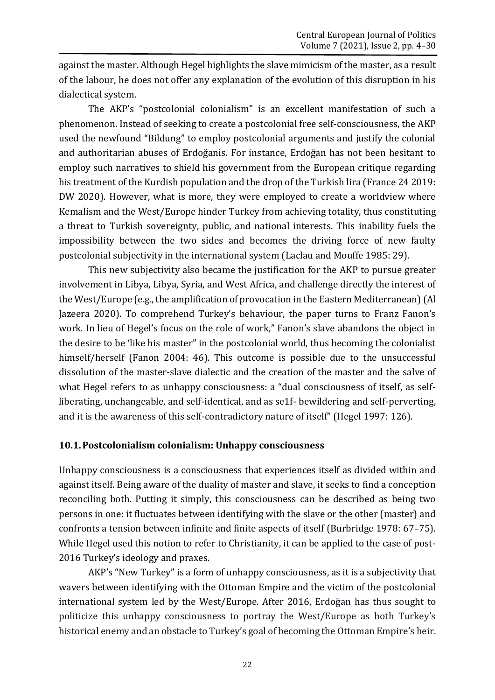against the master. Although Hegel highlights the slave mimicism of the master, as a result of the labour, he does not offer any explanation of the evolution of this disruption in his dialectical system.

The AKP's "postcolonial colonialism" is an excellent manifestation of such a phenomenon. Instead of seeking to create a postcolonial free self-consciousness, the AKP used the newfound "Bildung" to employ postcolonial arguments and justify the colonial and authoritarian abuses of Erdoğanis. For instance, Erdoğan has not been hesitant to employ such narratives to shield his government from the European critique regarding his treatment of the Kurdish population and the drop of the Turkish lira (France 24 2019: DW 2020). However, what is more, they were employed to create a worldview where Kemalism and the West/Europe hinder Turkey from achieving totality, thus constituting a threat to Turkish sovereignty, public, and national interests. This inability fuels the impossibility between the two sides and becomes the driving force of new faulty postcolonial subjectivity in the international system (Laclau and Mouffe 1985: 29).

This new subjectivity also became the justification for the AKP to pursue greater involvement in Libya, Libya, Syria, and West Africa, and challenge directly the interest of the West/Europe (e.g., the amplification of provocation in the Eastern Mediterranean) (Al Jazeera 2020). To comprehend Turkey's behaviour, the paper turns to Franz Fanon's work. In lieu of Hegel's focus on the role of work," Fanon's slave abandons the object in the desire to be 'like his master" in the postcolonial world, thus becoming the colonialist himself/herself (Fanon 2004: 46). This outcome is possible due to the unsuccessful dissolution of the master-slave dialectic and the creation of the master and the salve of what Hegel refers to as unhappy consciousness: a "dual consciousness of itself, as selfliberating, unchangeable, and self-identical, and as se1f- bewildering and self-perverting, and it is the awareness of this self-contradictory nature of itself" (Hegel 1997: 126).

#### **10.1.Postcolonialism colonialism: Unhappy consciousness**

Unhappy consciousness is a consciousness that experiences itself as divided within and against itself. Being aware of the duality of master and slave, it seeks to find a conception reconciling both. Putting it simply, this consciousness can be described as being two persons in one: it fluctuates between identifying with the slave or the other (master) and confronts a tension between infinite and finite aspects of itself (Burbridge 1978: 67–75). While Hegel used this notion to refer to Christianity, it can be applied to the case of post-2016 Turkey's ideology and praxes.

AKP's "New Turkey" is a form of unhappy consciousness, as it is a subjectivity that wavers between identifying with the Ottoman Empire and the victim of the postcolonial international system led by the West/Europe. After 2016, Erdoğan has thus sought to politicize this unhappy consciousness to portray the West/Europe as both Turkey's historical enemy and an obstacle to Turkey's goal of becoming the Ottoman Empire's heir.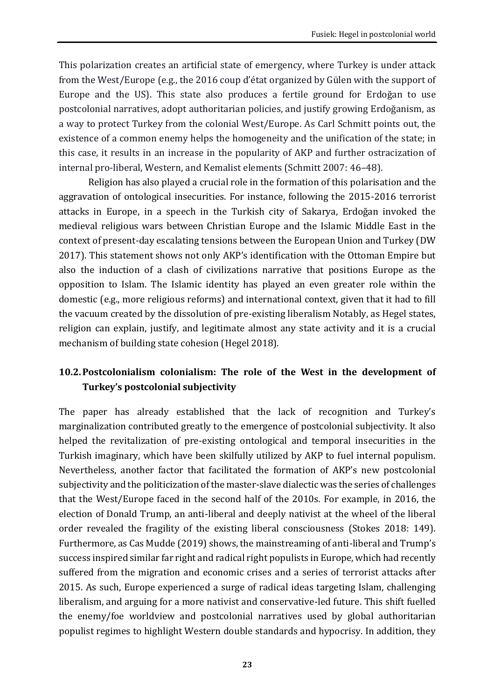This polarization creates an artificial state of emergency, where Turkey is under attack from the West/Europe (e.g., the 2016 coup d'état organized by Gülen with the support of Europe and the US). This state also produces a fertile ground for Erdoğan to use postcolonial narratives, adopt authoritarian policies, and justify growing Erdoğanism, as a way to protect Turkey from the colonial West/Europe. As Carl Schmitt points out, the existence of a common enemy helps the homogeneity and the unification of the state; in this case, it results in an increase in the popularity of AKP and further ostracization of internal pro-liberal, Western, and Kemalist elements (Schmitt 2007: 46–48).

Religion has also played a crucial role in the formation of this polarisation and the aggravation of ontological insecurities. For instance, following the 2015-2016 terrorist attacks in Europe, in a speech in the Turkish city of Sakarya, Erdoğan invoked the medieval religious wars between Christian Europe and the Islamic Middle East in the context of present-day escalating tensions between the European Union and Turkey (DW 2017). This statement shows not only AKP's identification with the Ottoman Empire but also the induction of a clash of civilizations narrative that positions Europe as the opposition to Islam. The Islamic identity has played an even greater role within the domestic (e.g., more religious reforms) and international context, given that it had to fill the vacuum created by the dissolution of pre-existing liberalism Notably, as Hegel states, religion can explain, justify, and legitimate almost any state activity and it is a crucial mechanism of building state cohesion (Hegel 2018).

### **10.2.Postcolonialism colonialism: The role of the West in the development of Turkey's postcolonial subjectivity**

The paper has already established that the lack of recognition and Turkey's marginalization contributed greatly to the emergence of postcolonial subjectivity. It also helped the revitalization of pre-existing ontological and temporal insecurities in the Turkish imaginary, which have been skilfully utilized by AKP to fuel internal populism. Nevertheless, another factor that facilitated the formation of AKP's new postcolonial subjectivity and the politicization of the master-slave dialectic was the series of challenges that the West/Europe faced in the second half of the 2010s. For example, in 2016, the election of Donald Trump, an anti-liberal and deeply nativist at the wheel of the liberal order revealed the fragility of the existing liberal consciousness (Stokes 2018: 149). Furthermore, as Cas Mudde (2019) shows, the mainstreaming of anti-liberal and Trump's success inspired similar far right and radical right populists in Europe, which had recently suffered from the migration and economic crises and a series of terrorist attacks after 2015. As such, Europe experienced a surge of radical ideas targeting Islam, challenging liberalism, and arguing for a more nativist and conservative-led future. This shift fuelled the enemy/foe worldview and postcolonial narratives used by global authoritarian populist regimes to highlight Western double standards and hypocrisy. In addition, they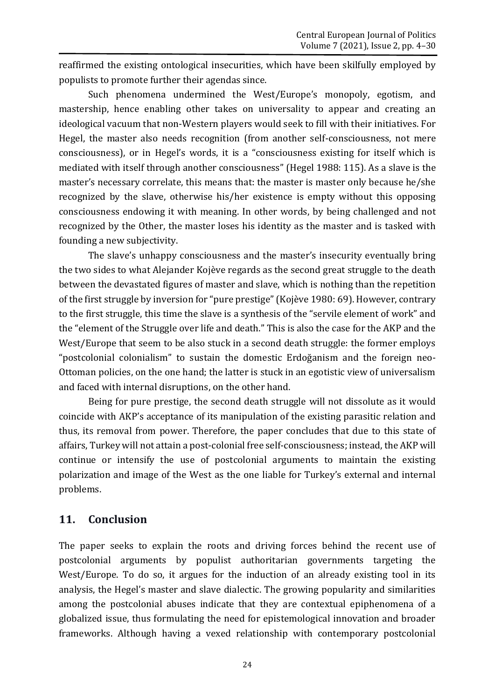reaffirmed the existing ontological insecurities, which have been skilfully employed by populists to promote further their agendas since.

Such phenomena undermined the West/Europe's monopoly, egotism, and mastership, hence enabling other takes on universality to appear and creating an ideological vacuum that non-Western players would seek to fill with their initiatives. For Hegel, the master also needs recognition (from another self-consciousness, not mere consciousness), or in Hegel's words, it is a "consciousness existing for itself which is mediated with itself through another consciousness" (Hegel 1988: 115). As a slave is the master's necessary correlate, this means that: the master is master only because he/she recognized by the slave, otherwise his/her existence is empty without this opposing consciousness endowing it with meaning. In other words, by being challenged and not recognized by the Other, the master loses his identity as the master and is tasked with founding a new subjectivity.

The slave's unhappy consciousness and the master's insecurity eventually bring the two sides to what Alejander Kojève regards as the second great struggle to the death between the devastated figures of master and slave, which is nothing than the repetition of the first struggle by inversion for "pure prestige" (Kojève 1980: 69). However, contrary to the first struggle, this time the slave is a synthesis of the "servile element of work" and the "element of the Struggle over life and death." This is also the case for the AKP and the West/Europe that seem to be also stuck in a second death struggle: the former employs "postcolonial colonialism" to sustain the domestic Erdoğanism and the foreign neo-Ottoman policies, on the one hand; the latter is stuck in an egotistic view of universalism and faced with internal disruptions, on the other hand.

Being for pure prestige, the second death struggle will not dissolute as it would coincide with AKP's acceptance of its manipulation of the existing parasitic relation and thus, its removal from power. Therefore, the paper concludes that due to this state of affairs, Turkey will not attain a post-colonial free self-consciousness; instead, the AKP will continue or intensify the use of postcolonial arguments to maintain the existing polarization and image of the West as the one liable for Turkey's external and internal problems.

### **11. Conclusion**

The paper seeks to explain the roots and driving forces behind the recent use of postcolonial arguments by populist authoritarian governments targeting the West/Europe. To do so, it argues for the induction of an already existing tool in its analysis, the Hegel's master and slave dialectic. The growing popularity and similarities among the postcolonial abuses indicate that they are contextual epiphenomena of a globalized issue, thus formulating the need for epistemological innovation and broader frameworks. Although having a vexed relationship with contemporary postcolonial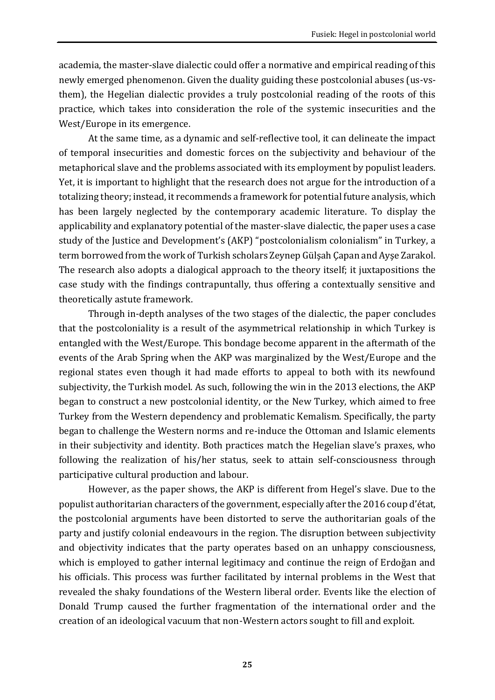academia, the master-slave dialectic could offer a normative and empirical reading of this newly emerged phenomenon. Given the duality guiding these postcolonial abuses (us-vsthem), the Hegelian dialectic provides a truly postcolonial reading of the roots of this practice, which takes into consideration the role of the systemic insecurities and the West/Europe in its emergence.

At the same time, as a dynamic and self-reflective tool, it can delineate the impact of temporal insecurities and domestic forces on the subjectivity and behaviour of the metaphorical slave and the problems associated with its employment by populist leaders. Yet, it is important to highlight that the research does not argue for the introduction of a totalizing theory; instead, it recommends a framework for potential future analysis, which has been largely neglected by the contemporary academic literature. To display the applicability and explanatory potential of the master-slave dialectic, the paper uses a case study of the Justice and Development's (AKP) "postcolonialism colonialism" in Turkey, a term borrowed from the work of Turkish scholars Zeynep Gülşah Çapan and Ayşe Zarakol. The research also adopts a dialogical approach to the theory itself; it juxtapositions the case study with the findings contrapuntally, thus offering a contextually sensitive and theoretically astute framework.

Through in-depth analyses of the two stages of the dialectic, the paper concludes that the postcoloniality is a result of the asymmetrical relationship in which Turkey is entangled with the West/Europe. This bondage become apparent in the aftermath of the events of the Arab Spring when the AKP was marginalized by the West/Europe and the regional states even though it had made efforts to appeal to both with its newfound subjectivity, the Turkish model. As such, following the win in the 2013 elections, the AKP began to construct a new postcolonial identity, or the New Turkey, which aimed to free Turkey from the Western dependency and problematic Kemalism. Specifically, the party began to challenge the Western norms and re-induce the Ottoman and Islamic elements in their subjectivity and identity. Both practices match the Hegelian slave's praxes, who following the realization of his/her status, seek to attain self-consciousness through participative cultural production and labour.

However, as the paper shows, the AKP is different from Hegel's slave. Due to the populist authoritarian characters of the government, especially after the 2016 coup d'état, the postcolonial arguments have been distorted to serve the authoritarian goals of the party and justify colonial endeavours in the region. The disruption between subjectivity and objectivity indicates that the party operates based on an unhappy consciousness, which is employed to gather internal legitimacy and continue the reign of Erdoğan and his officials. This process was further facilitated by internal problems in the West that revealed the shaky foundations of the Western liberal order. Events like the election of Donald Trump caused the further fragmentation of the international order and the creation of an ideological vacuum that non-Western actors sought to fill and exploit.

**25**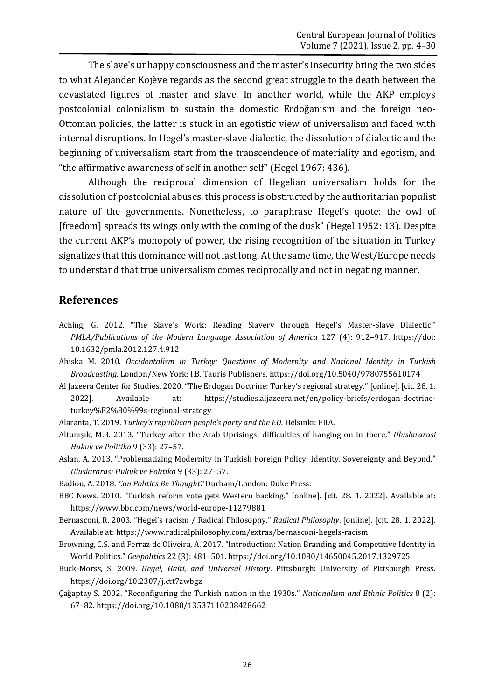The slave's unhappy consciousness and the master's insecurity bring the two sides to what Alejander Kojève regards as the second great struggle to the death between the devastated figures of master and slave. In another world, while the AKP employs postcolonial colonialism to sustain the domestic Erdoğanism and the foreign neo-Ottoman policies, the latter is stuck in an egotistic view of universalism and faced with internal disruptions. In Hegel's master-slave dialectic, the dissolution of dialectic and the beginning of universalism start from the transcendence of materiality and egotism, and "the affirmative awareness of self in another self" (Hegel 1967: 436).

Although the reciprocal dimension of Hegelian universalism holds for the dissolution of postcolonial abuses, this process is obstructed by the authoritarian populist nature of the governments. Nonetheless, to paraphrase Hegel's quote: the owl of [freedom] spreads its wings only with the coming of the dusk" (Hegel 1952: 13). Despite the current AKP's monopoly of power, the rising recognition of the situation in Turkey signalizes that this dominance will not last long. At the same time, the West/Europe needs to understand that true universalism comes reciprocally and not in negating manner.

#### **References**

- Aching, G. 2012. "The Slave's Work: Reading Slavery through Hegel's Master-Slave Dialectic." *PMLA/Publications of the Modern Language Association of America* 127 (4): 912–917. https://doi: 10.1632/pmla.2012.127.4.912
- Ahiska M. 2010. *Occidentalism in Turkey: Questions of Modernity and National Identity in Turkish Broadcasting.* London/New York: I.B. Tauris Publishers. <https://doi.org/10.5040/9780755610174>
- Al Jazeera Center for Studies. 2020. "The Erdogan Doctrine: Turkey's regional strategy." [online]. [cit. 28. 1. 2022]. Available at: [https://studies.aljazeera.net/en/policy-briefs/erdogan-doctrine](about:blank)[turkey%E2%80%99s-regional-strategy](about:blank)
- Alaranta, T. 2019. *Turkey's republican people's party and the EU.* Helsinki: FIIA.
- Altunışık, M.B. 2013. "Turkey after the Arab Uprisings: difficulties of hanging on in there." *Uluslararasi Hukuk ve Politika* 9 (33): 27–57.
- Aslan, A. 2013. "Problematizing Modernity in Turkish Foreign Policy: Identity, Sovereignty and Beyond." *[Uluslararası Hukuk ve Politika](https://www.ceeol.com/search/journal-detail?id=510)* 9 (33): 27–57.
- Badiou, A. 2018. *Can Politics Be Thought?* Durham/London: Duke Press.
- BBC News. 2010. "Turkish reform vote gets Western backing." [online]. [cit. 28. 1. 2022]. Available at: [https://www.bbc.com/news/world-europe-11279881](about:blank)
- Bernasconi, R. 2003. "Hegel's racism / Radical Philosophy." *Radical Philosophy*. [online]. [cit. 28. 1. 2022]. Available at: [https://www.radicalphilosophy.com/extras/bernasconi-hegels-racism](about:blank)
- Browning, C.S. and Ferraz de Oliveira, A. 2017. "Introduction: Nation Branding and Competitive Identity in World Politics." *Geopolitics* 22 (3): 481–501. <https://doi.org/10.1080/14650045.2017.1329725>
- Buck-Morss, S. 2009. *Hegel, Haiti, and Universal History*. Pittsburgh: University of Pittsburgh Press. <https://doi.org/10.2307/j.ctt7zwbgz>
- Çağaptay S. 2002. "Reconfiguring the Turkish nation in the 1930s." *Nationalism and Ethnic Politics* 8 (2): 67–82. <https://doi.org/10.1080/13537110208428662>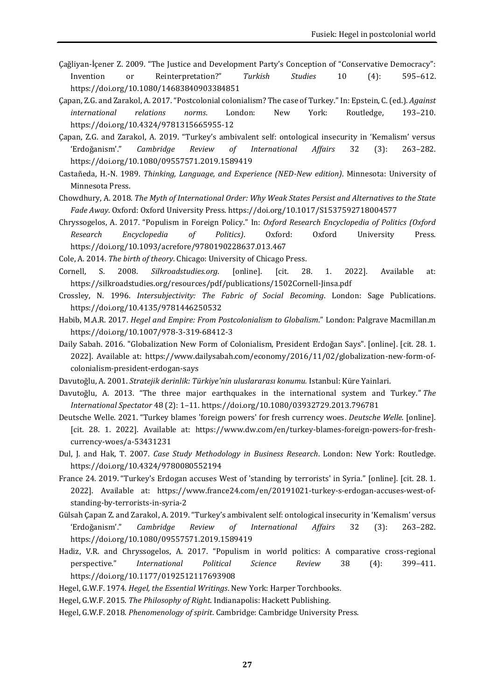- Çağliyan‐İçener Z. 2009. "The Justice and Development Party's Conception of "Conservative Democracy": Invention or Reinterpretation?" *Turkish Studies* 10 (4): 595–612. <https://doi.org/10.1080/14683840903384851>
- Çapan, Z.G. and Zarakol, A. 2017. "Postcolonial colonialism? The case of Turkey." In: Epstein, C. (ed.). *Against international relations norms*. London: New York: Routledge, 193–210. <https://doi.org/10.4324/9781315665955-12>

Çapan, Z.G. and Zarakol, A. 2019. "Turkey's ambivalent self: ontological insecurity in 'Kemalism' versus 'Erdoğanism'." *Cambridge Review of International Affairs* 32 (3): 263–282. <https://doi.org/10.1080/09557571.2019.1589419>

Castañeda, H.-N. 1989. *Thinking, Language, and Experience (NED-New edition)*. Minnesota: University of Minnesota Press.

- Chowdhury, A. 2018. *The Myth of International Order: Why Weak States Persist and Alternatives to the State Fade Away*. Oxford: Oxford University Press. <https://doi.org/10.1017/S1537592718004577>
- Chryssogelos, A. 2017. "Populism in Foreign Policy." In: *Oxford Research Encyclopedia of Politics (Oxford Research Encyclopedia of Politics)*. Oxford: Oxford University Press. [https://doi.org/10.1093/acrefore/9780190228637.013.467](about:blank)
- Cole, A. 2014. *The birth of theory*. Chicago: University of Chicago Press.
- Cornell, S. 2008. *Silkroadstudies.org*. [online]. [cit. 28. 1. 2022]. Available at: [https://silkroadstudies.org/resources/pdf/publications/1502Cornell-Jinsa.pdf](about:blank)
- Crossley, N. 1996. *Intersubjectivity: The Fabric of Social Becoming*. London: Sage Publications. <https://doi.org/10.4135/9781446250532>
- Habib, M.A.R. 2017. *Hegel and Empire: From Postcolonialism to Globalism*." London: Palgrave Macmillan.m <https://doi.org/10.1007/978-3-319-68412-3>
- Daily Sabah. 2016. "Globalization New Form of Colonialism, President Erdoğan Says". [online]. [cit. 28. 1. 2022]. Available at: [https://www.dailysabah.com/economy/2016/11/02/globalization-new-form-of](about:blank)[colonialism-president-erdogan-says](about:blank)
- Davutoğlu, A. 2001. *Stratejik derinlik: Türkiye'nin uluslararası konumu.* Istanbul: Küre Yainlari.
- Davutoğlu, A. 2013. "The three major earthquakes in the international system and Turkey." *The International Spectator* 48 (2): 1–11. <https://doi.org/10.1080/03932729.2013.796781>
- Deutsche Welle. 2021. "Turkey blames 'foreign powers' for fresh currency woes. *Deutsche Welle*. [online]. [cit. 28. 1. 2022]. Available at: [https://www.dw.com/en/turkey-blames-foreign-powers-for-fresh](about:blank)[currency-woes/a-53431231](about:blank)
- Dul, J. and Hak, T. 2007. *Case Study Methodology in Business Research*. London: New York: Routledge. <https://doi.org/10.4324/9780080552194>
- France 24. 2019. "Turkey's Erdogan accuses West of 'standing by terrorists' in Syria." [online]. [cit. 28. 1. 2022]. Available at: [https://www.france24.com/en/20191021-turkey-s-erdogan-accuses-west-of](about:blank)[standing-by-terrorists-in-syria-2](about:blank)
- Gülsah Çapan Z. and Zarakol, A. 2019. "Turkey's ambivalent self: ontological insecurity in 'Kemalism' versus 'Erdoğanism'." *Cambridge Review of International Affairs* 32 (3): 263–282. <https://doi.org/10.1080/09557571.2019.1589419>
- Hadiz, V.R. and Chryssogelos, A. 2017. "Populism in world politics: A comparative cross-regional perspective." *International Political Science Review* 38 (4): 399–411. <https://doi.org/10.1177/0192512117693908>
- Hegel, G.W.F. 1974. *Hegel, the Essential Writings*. New York: Harper Torchbooks.
- Hegel, G.W.F. 2015. *The Philosophy of Right*. Indianapolis: Hackett Publishing.
- Hegel, G.W.F. 2018. *Phenomenology of spirit*. Cambridge: Cambridge University Press.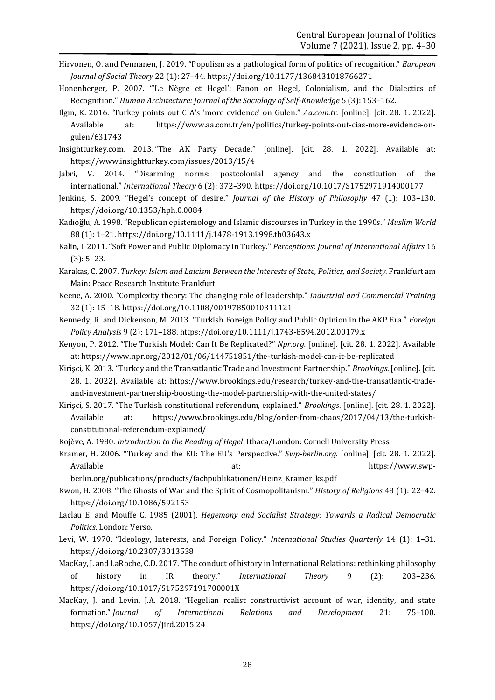- Hirvonen, O. and Pennanen, J. 2019. "Populism as a pathological form of politics of recognition." *European Journal of Social Theory* 22 (1): 27–44[. https://doi.org/10.1177/1368431018766271](https://doi.org/10.1177/1368431018766271)
- Honenberger, P. 2007. "ʻLe Nègre et Hegel': Fanon on Hegel, Colonialism, and the Dialectics of Recognition." *Human Architecture: Journal of the Sociology of Self-Knowledge* 5 (3): 153–162.
- Ilgın, K. 2016. "Turkey points out CIA's 'more evidence' on Gulen." *Aa.com.tr.* [online]. [cit. 28. 1. 2022]. Available at: [https://www.aa.com.tr/en/politics/turkey-points-out-cias-more-evidence-on](about:blank)[gulen/631743](about:blank)
- Insightturkey.com. 2013. "The AK Party Decade." [online]. [cit. 28. 1. 2022]. Available at: [https://www.insightturkey.com/issues/2013/15/4](about:blank)
- Jabri, V. 2014. "Disarming norms: postcolonial agency and the constitution of the international." *International Theory* 6 (2): 372–390. <https://doi.org/10.1017/S1752971914000177>
- Jenkins, S. 2009. "Hegel's concept of desire." *Journal of the History of Philosophy* 47 (1): 103–130. <https://doi.org/10.1353/hph.0.0084>
- Kadıoğlu, A. 1998. "Republican epistemology and Islamic discourses in Turkey in the 1990s." *Muslim World* 88 (1): 1–21. <https://doi.org/10.1111/j.1478-1913.1998.tb03643.x>

Kalin, I. 2011. "Soft Power and Public Diplomacy in Turkey." *Perceptions: Journal of International Affairs* 16 (3): 5–23.

- Karakas, C. 2007. *Turkey: Islam and Laicism Between the Interests of State, Politics, and Society.* Frankfurt am Main: Peace Research Institute Frankfurt.
- Keene, A. 2000. "Complexity theory: The changing role of leadership." *Industrial and Commercial Training* 32 (1): 15–18. <https://doi.org/10.1108/00197850010311121>
- Kennedy, R. and Dickenson, M. 2013. "Turkish Foreign Policy and Public Opinion in the AKP Era." *Foreign Policy Analysis* 9 (2): 171–188. <https://doi.org/10.1111/j.1743-8594.2012.00179.x>
- Kenyon, P. 2012. "The Turkish Model: Can It Be Replicated?" *Npr.org.* [online]. [cit. 28. 1. 2022]. Available at: [https://www.npr.org/2012/01/06/144751851/the-turkish-model-can-it-be-replicated](about:blank)
- Kirişci, K. 2013. "Turkey and the Transatlantic Trade and Investment Partnership." *Brookings*. [online]. [cit. 28. 1. 2022]. Available at: [https://www.brookings.edu/research/turkey-and-the-transatlantic-trade](about:blank)[and-investment-partnership-boosting-the-model-partnership-with-the-united-states/](about:blank)
- Kirişci, S. 2017. "The Turkish constitutional referendum, explained." *Brookings*. [online]. [cit. 28. 1. 2022]. Available at: [https://www.brookings.edu/blog/order-from-chaos/2017/04/13/the-turkish](about:blank)[constitutional-referendum-explained/](about:blank)

Kojève, A. 1980. *Introduction to the Reading of Hegel*. Ithaca/London: Cornell University Press.

Kramer, H. 2006. "Turkey and the EU: The EU's Perspective." *Swp-berlin.org*. [online]. [cit. 28. 1. 2022]. Available at: [https://www.swp-](about:blank)

[berlin.org/publications/products/fachpublikationen/Heinz\\_Kramer\\_ks.pdf](about:blank)

- Kwon, H. 2008. "The Ghosts of War and the Spirit of Cosmopolitanism." *History of Religions* 48 (1): 22–42. [https://doi.org/10.1086/592153](about:blank)
- Laclau E. and Mouffe C. 1985 (2001). *Hegemony and Socialist Strategy: Towards a Radical Democratic Politics*. London: Verso.
- Levi, W. 1970. "Ideology, Interests, and Foreign Policy." *International Studies Quarterly* 14 (1): 1–31. [https://doi.org/10.2307/3013538](about:blank)
- MacKay, J. and LaRoche, C.D. 2017. "The conduct of history in International Relations: rethinking philosophy of history in IR theory." *International Theory* 9 (2): 203–236. <https://doi.org/10.1017/S175297191700001X>
- MacKay, J. and Levin, J.A. 2018. "Hegelian realist constructivist account of war, identity, and state formation." *Journal of International Relations and Development* 21: 75–100. <https://doi.org/10.1057/jird.2015.24>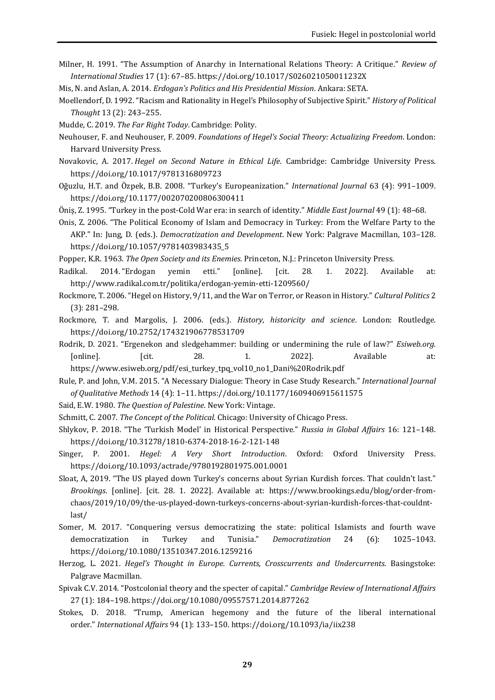- Milner, H. 1991. "The Assumption of Anarchy in International Relations Theory: A Critique." *Review of International Studies* 17 (1): 67–85. <https://doi.org/10.1017/S026021050011232X>
- Mis, N. and Aslan, A. 2014. *Erdogan's Politics and His Presidential Mission*. Ankara: SETA.
- Moellendorf, D. 1992. "Racism and Rationality in Hegel's Philosophy of Subjective Spirit." *History of Political Thought* 13 (2): 243–255.
- Mudde, C. 2019. *The Far Right Today*. Cambridge: Polity.
- Neuhouser, F. and Neuhouser, F. 2009. *Foundations of Hegel's Social Theory: Actualizing Freedom*. London: Harvard University Press.
- Novakovic, A. 2017. *Hegel on Second Nature in Ethical Life*. Cambridge: Cambridge University Press. <https://doi.org/10.1017/9781316809723>
- Oğuzlu, H.T. and Özpek, B.B. 2008. "Turkey's Europeanization." *International Journal* 63 (4): 991–1009. <https://doi.org/10.1177/002070200806300411>
- Öniş, Z. 1995. "Turkey in the post-Cold War era: in search of identity." *Middle East Journal* 49 (1): 48–68.
- Onis, Z. 2006. "The Political Economy of Islam and Democracy in Turkey: From the Welfare Party to the AKP." In: Jung, D. (eds.). *Democratization and Development*. New York: Palgrave Macmillan, 103–128. https://doi.org/10.1057/9781403983435\_5
- Popper, K.R. 1963. *The Open Society and its Enemies*. Princeton, N.J.: Princeton University Press.
- Radikal. 2014. "Erdogan yemin etti." [online]. [cit. 28. 1. 2022]. Available at: [http://www.radikal.com.tr/politika/erdogan-yemin-etti-1209560/](about:blank)
- Rockmore, T. 2006. "Hegel on History, 9/11, and the War on Terror, or Reason in History." *Cultural Politics* 2 (3): 281–298.
- Rockmore, T. and Margolis, J. 2006. (eds.). *History, historicity and science*. London: Routledge. <https://doi.org/10.2752/174321906778531709>
- Rodrik, D. 2021. "Ergenekon and sledgehammer: building or undermining the rule of law?" *Esiweb.org.* [online]. [cit. 28. 1. 2022]. Available at: [https://www.esiweb.org/pdf/esi\\_turkey\\_tpq\\_vol10\\_no1\\_Dani%20Rodrik.pdf](about:blank)
- Rule, P. and John, V.M. 2015. "A Necessary Dialogue: Theory in Case Study Research." *International Journal of Qualitative Methods* 14 (4): 1–11[. https://doi.org/10.1177/1609406915611575](https://doi.org/10.1177%2F1609406915611575)
- Said, E.W. 1980. *The Question of Palestine*. New York: Vintage.
- Schmitt, C. 2007. *The Concept of the Political*. Chicago: University of Chicago Press.
- Shlykov, P. 2018. "The ʻTurkish Model' in Historical Perspective*.*" *Russia in Global Affairs* 16: 121–148. <https://doi.org/10.31278/1810-6374-2018-16-2-121-148>
- Singer, P. 2001. *Hegel: A Very Short Introduction*. Oxford: Oxford University Press. <https://doi.org/10.1093/actrade/9780192801975.001.0001>
- Sloat, A, 2019. "The US played down Turkey's concerns about Syrian Kurdish forces. That couldn't last." *Brookings*. [online]. [cit. 28. 1. 2022]. Available at: https://www.brookings.edu/blog/order-fromchaos/2019/10/09/the-us-played-down-turkeys-concerns-about-syrian-kurdish-forces-that-couldntlast/
- Somer, M. 2017. "Conquering versus democratizing the state: political Islamists and fourth wave democratization in Turkey and Tunisia." *Democratization* 24 (6): 1025–1043. <https://doi.org/10.1080/13510347.2016.1259216>
- Herzog, L. 2021. *Hegel's Thought in Europe. Currents, Crosscurrents and Undercurrents*. Basingstoke: Palgrave Macmillan.
- Spivak C.V. 2014. "Postcolonial theory and the specter of capital." *Cambridge Review of International Affairs* 27 (1): 184–198. <https://doi.org/10.1080/09557571.2014.877262>
- Stokes, D. 2018. "Trump, American hegemony and the future of the liberal international order." *International Affairs* 94 (1): 133–150. <https://doi.org/10.1093/ia/iix238>